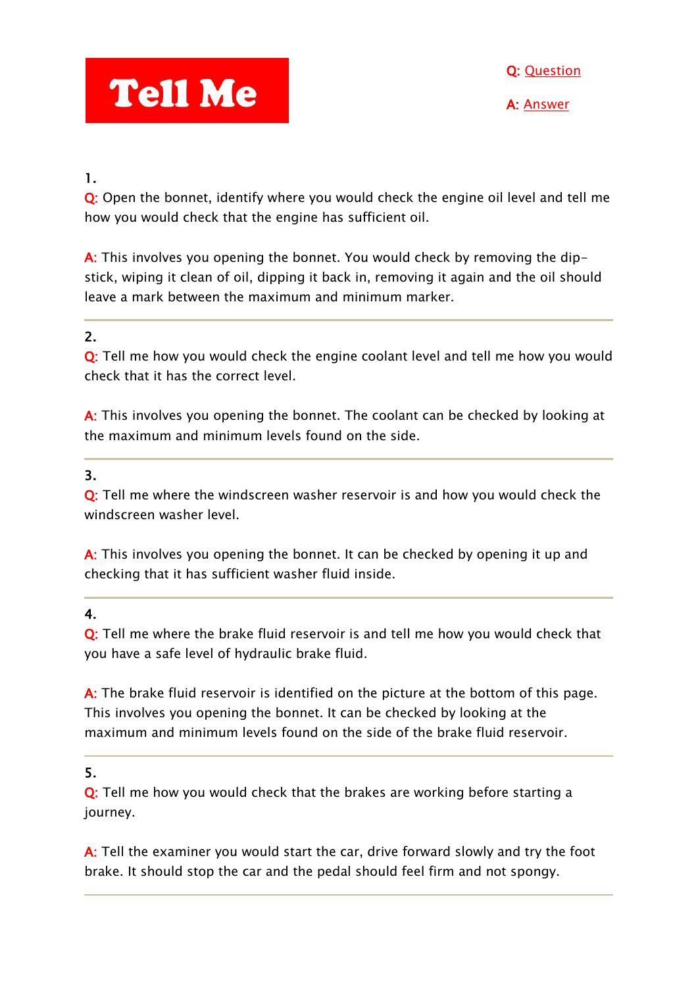# **Tell Me**

### 1.

Q: Open the bonnet, identify where you would check the engine oil level and tell me how you would check that the engine has sufficient oil.

A: This involves you opening the bonnet. You would check by removing the dipstick, wiping it clean of oil, dipping it back in, removing it again and the oil should leave a mark between the maximum and minimum marker.

# 2.

Q: Tell me how you would check the engine coolant level and tell me how you would check that it has the correct level.

A: This involves you opening the bonnet. The coolant can be checked by looking at the maximum and minimum levels found on the side.

# 3.

Q: Tell me where the windscreen washer reservoir is and how you would check the windscreen washer level.

A: This involves you opening the bonnet. It can be checked by opening it up and checking that it has sufficient washer fluid inside.

# 4.

Q: Tell me where the brake fluid reservoir is and tell me how you would check that you have a safe level of hydraulic brake fluid.

A: The brake fluid reservoir is identified on the picture at the bottom of this page. This involves you opening the bonnet. It can be checked by looking at the maximum and minimum levels found on the side of the brake fluid reservoir.

### 5.

Q: Tell me how you would check that the brakes are working before starting a journey.

A: Tell the examiner you would start the car, drive forward slowly and try the foot brake. It should stop the car and the pedal should feel firm and not spongy.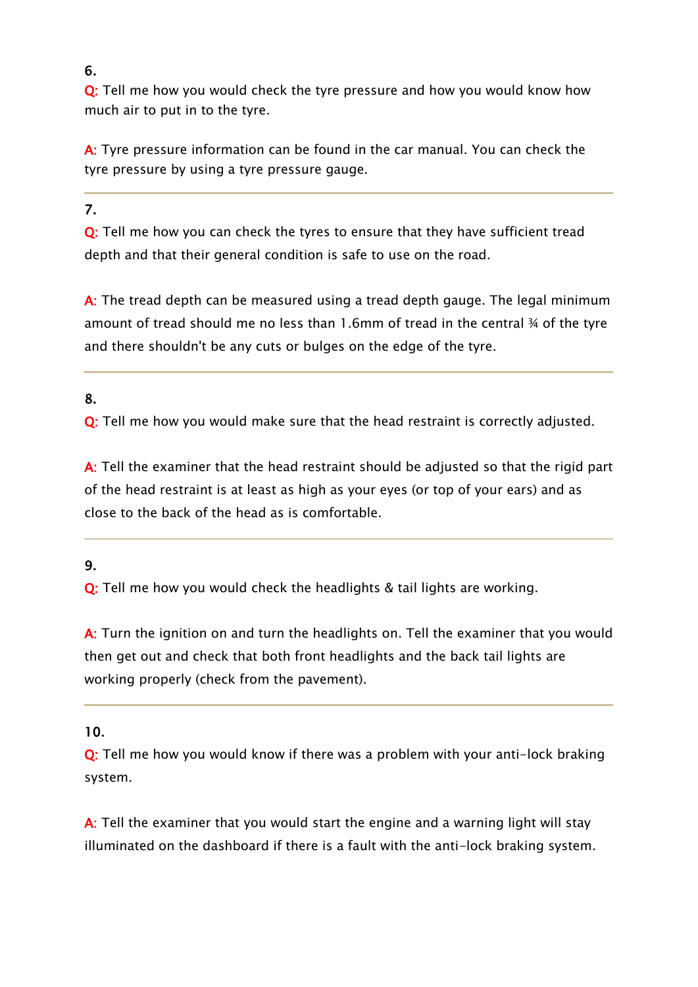### 6.

Q: Tell me how you would check the tyre pressure and how you would know how much air to put in to the tyre.

A: Tyre pressure information can be found in the car manual. You can check the tyre pressure by using a tyre pressure gauge.

### 7.

Q: Tell me how you can check the tyres to ensure that they have sufficient tread depth and that their general condition is safe to use on the road.

A: The tread depth can be measured using a tread depth gauge. The legal minimum amount of tread should me no less than 1.6mm of tread in the central ¾ of the tyre and there shouldn't be any cuts or bulges on the edge of the tyre.

# 8.

Q: Tell me how you would make sure that the head restraint is correctly adjusted.

A: Tell the examiner that the head restraint should be adjusted so that the rigid part of the head restraint is at least as high as your eyes (or top of your ears) and as close to the back of the head as is comfortable.

# 9.

Q: Tell me how you would check the headlights & tail lights are working.

A: Turn the ignition on and turn the headlights on. Tell the examiner that you would then get out and check that both front headlights and the back tail lights are working properly (check from the pavement).

### 10.

Q: Tell me how you would know if there was a problem with your anti-lock braking system.

A: Tell the examiner that you would start the engine and a warning light will stay illuminated on the dashboard if there is a fault with the anti-lock braking system.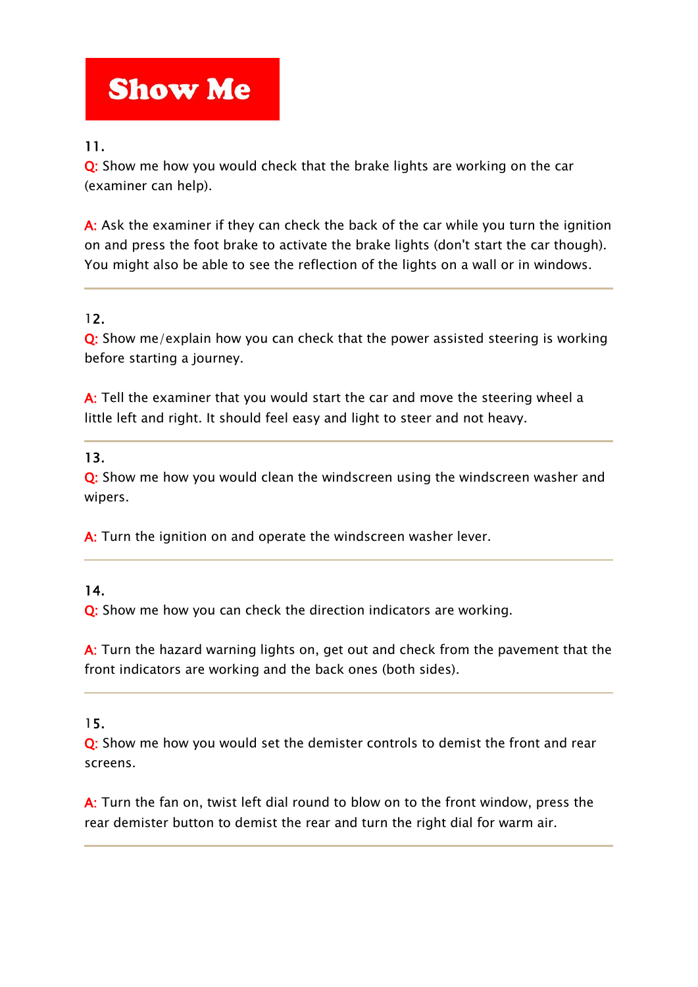# **Show Me**

# 11.

Q: Show me how you would check that the brake lights are working on the car (examiner can help).

A: Ask the examiner if they can check the back of the car while you turn the ignition on and press the foot brake to activate the brake lights (don't start the car though). You might also be able to see the reflection of the lights on a wall or in windows.

# 12.

Q: Show me/explain how you can check that the power assisted steering is working before starting a journey.

A: Tell the examiner that you would start the car and move the steering wheel a little left and right. It should feel easy and light to steer and not heavy.

# 13.

Q: Show me how you would clean the windscreen using the windscreen washer and wipers.

A: Turn the ignition on and operate the windscreen washer lever.

### 14.

Q: Show me how you can check the direction indicators are working.

A: Turn the hazard warning lights on, get out and check from the pavement that the front indicators are working and the back ones (both sides).

### 15.

Q: Show me how you would set the demister controls to demist the front and rear screens.

A: Turn the fan on, twist left dial round to blow on to the front window, press the rear demister button to demist the rear and turn the right dial for warm air.